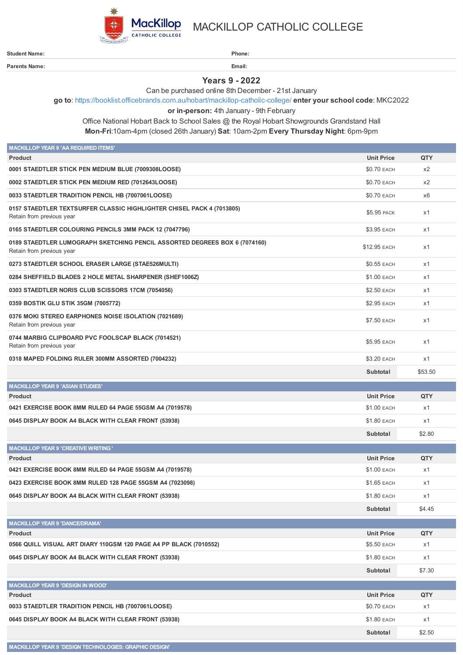

**Parents Name: Email:**

**MACKILLOP YEAR 9 'DESIGN TECHNOLOGIES: GRAPHIC DESIGN'**

MACKILLOP CATHOLIC COLLEGE

**Student Name: Phone:**

**Years 9 - 2022**

Can be purchased online 8th December - 21st January

**go to**: <https://booklist.officebrands.com.au/hobart/mackillop-catholic-college/> **enter your school code**: MKC2022

**or in-person:** 4th January - 9th February

Office National Hobart Back to School Sales @ the Royal Hobart Showgrounds Grandstand Hall **Mon-Fri**:10am-4pm (closed 26th January) **Sat**: 10am-2pm **Every Thursday Night**: 6pm-9pm

| <b>MACKILLOP YEAR 9 'AA REQUIRED ITEMS'</b>                                                             |                    |                |
|---------------------------------------------------------------------------------------------------------|--------------------|----------------|
| <b>Product</b>                                                                                          | <b>Unit Price</b>  | QTY            |
| 0001 STAEDTLER STICK PEN MEDIUM BLUE (7009308LOOSE)                                                     | \$0.70 EACH        | x2             |
| 0002 STAEDTLER STICK PEN MEDIUM RED (7012643LOOSE)                                                      | \$0.70 EACH        | x2             |
| 0033 STAEDTLER TRADITION PENCIL HB (7007061LOOSE)                                                       | \$0.70 EACH        | x <sub>6</sub> |
| 0157 STAEDTLER TEXTSURFER CLASSIC HIGHLIGHTER CHISEL PACK 4 (7013805)<br>Retain from previous year      | \$5.95 PACK        | x1             |
| 0165 STAEDTLER COLOURING PENCILS 3MM PACK 12 (7047796)                                                  | \$3.95 EACH        | x1             |
| 0189 STAEDTLER LUMOGRAPH SKETCHING PENCIL ASSORTED DEGREES BOX 6 (7074160)<br>Retain from previous year | \$12.95 EACH       | x1             |
| 0273 STAEDTLER SCHOOL ERASER LARGE (STAE526MULTI)                                                       | <b>\$0.55 EACH</b> | x1             |
| 0284 SHEFFIELD BLADES 2 HOLE METAL SHARPENER (SHEF1006Z)                                                | \$1.00 EACH        | x1             |
| 0303 STAEDTLER NORIS CLUB SCISSORS 17CM (7054056)                                                       | \$2.50 EACH        | x1             |
| 0359 BOSTIK GLU STIK 35GM (7005772)                                                                     | \$2.95 EACH        | x1             |
| 0376 MOKI STEREO EARPHONES NOISE ISOLATION (7021689)<br>Retain from previous year                       | \$7.50 EACH        | x1             |
| 0744 MARBIG CLIPBOARD PVC FOOLSCAP BLACK (7014521)<br>Retain from previous year                         | \$5.95 EACH        | x1             |
| 0318 MAPED FOLDING RULER 300MM ASSORTED (7004232)                                                       | \$3.20 EACH        | x1             |
|                                                                                                         | Subtotal           | \$53.50        |
| <b>MACKILLOP YEAR 9 'ASIAN STUDIES'</b>                                                                 |                    |                |
| <b>Product</b>                                                                                          | <b>Unit Price</b>  | <b>QTY</b>     |
| 0421 EXERCISE BOOK 8MM RULED 64 PAGE 55GSM A4 (7019578)                                                 | \$1.00 EACH        | x1             |
| 0645 DISPLAY BOOK A4 BLACK WITH CLEAR FRONT (53938)                                                     | \$1.80 EACH        | x1             |
|                                                                                                         | Subtotal           | \$2.80         |
| <b>MACKILLOP YEAR 9 'CREATIVE WRITING'</b>                                                              |                    |                |
| <b>Product</b>                                                                                          | <b>Unit Price</b>  | QTY            |
| 0421 EXERCISE BOOK 8MM RULED 64 PAGE 55GSM A4 (7019578)                                                 | \$1.00 EACH        | x1             |
| 0423 EXERCISE BOOK 8MM RULED 128 PAGE 55GSM A4 (7023098)                                                | \$1.65 EACH        | x1             |
| 0645 DISPLAY BOOK A4 BLACK WITH CLEAR FRONT (53938)                                                     | \$1.80 EACH        | x1             |
|                                                                                                         | Subtotal           | \$4.45         |
| <b>MACKILLOP YEAR 9 'DANCE/DRAMA'</b>                                                                   |                    |                |
| Product                                                                                                 | <b>Unit Price</b>  | QTY            |
| 0566 QUILL VISUAL ART DIARY 110GSM 120 PAGE A4 PP BLACK (7010552)                                       | \$5.50 EACH        | x1             |
| 0645 DISPLAY BOOK A4 BLACK WITH CLEAR FRONT (53938)                                                     | \$1.80 EACH        | x1             |
|                                                                                                         | Subtotal           | \$7.30         |
| <b>MACKILLOP YEAR 9 'DESIGN IN WOOD'</b>                                                                |                    |                |
| Product                                                                                                 | <b>Unit Price</b>  | QTY            |
| 0033 STAEDTLER TRADITION PENCIL HB (7007061LOOSE)                                                       | \$0.70 EACH        | x1             |
| 0645 DISPLAY BOOK A4 BLACK WITH CLEAR FRONT (53938)                                                     | \$1.80 EACH        | x1             |
|                                                                                                         | Subtotal           | \$2.50         |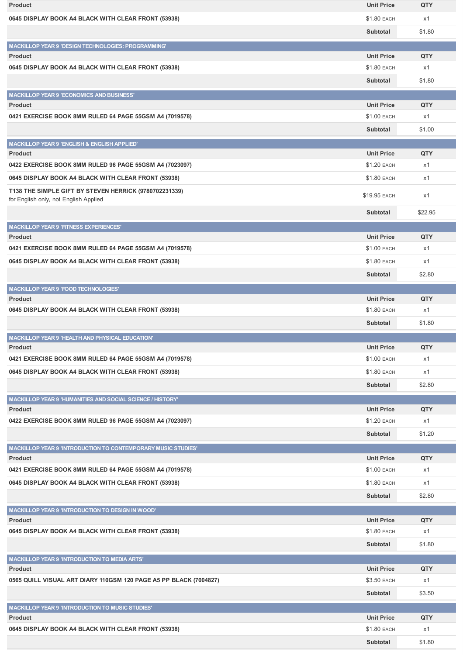| <b>Product</b>                                                                                  | <b>Unit Price</b>  | QTY        |
|-------------------------------------------------------------------------------------------------|--------------------|------------|
| 0645 DISPLAY BOOK A4 BLACK WITH CLEAR FRONT (53938)                                             | \$1.80 EACH        | x1         |
|                                                                                                 | Subtotal           | \$1.80     |
|                                                                                                 |                    |            |
| MACKILLOP YEAR 9 'DESIGN TECHNOLOGIES: PROGRAMMING'<br><b>Product</b>                           | <b>Unit Price</b>  | QTY        |
| 0645 DISPLAY BOOK A4 BLACK WITH CLEAR FRONT (53938)                                             | \$1.80 EACH        | x1         |
|                                                                                                 | Subtotal           | \$1.80     |
|                                                                                                 |                    |            |
| <b>MACKILLOP YEAR 9 'ECONOMICS AND BUSINESS'</b><br><b>Product</b>                              | <b>Unit Price</b>  | <b>QTY</b> |
| 0421 EXERCISE BOOK 8MM RULED 64 PAGE 55GSM A4 (7019578)                                         | \$1.00 EACH        | x1         |
|                                                                                                 |                    |            |
|                                                                                                 | Subtotal           | \$1.00     |
| MACKILLOP YEAR 9 'ENGLISH & ENGLISH APPLIED'                                                    |                    |            |
| <b>Product</b>                                                                                  | <b>Unit Price</b>  | <b>QTY</b> |
| 0422 EXERCISE BOOK 8MM RULED 96 PAGE 55GSM A4 (7023097)                                         | <b>\$1.20 EACH</b> | x1         |
| 0645 DISPLAY BOOK A4 BLACK WITH CLEAR FRONT (53938)                                             | \$1.80 EACH        | x1         |
| T138 THE SIMPLE GIFT BY STEVEN HERRICK (9780702231339)<br>for English only, not English Applied | \$19.95 EACH       | x1         |
|                                                                                                 | Subtotal           | \$22.95    |
| <b>MACKILLOP YEAR 9 'FITNESS EXPERIENCES'</b>                                                   |                    |            |
| <b>Product</b>                                                                                  | <b>Unit Price</b>  | QTY        |
| 0421 EXERCISE BOOK 8MM RULED 64 PAGE 55GSM A4 (7019578)                                         | \$1.00 EACH        | x1         |
| 0645 DISPLAY BOOK A4 BLACK WITH CLEAR FRONT (53938)                                             | \$1.80 EACH        | x1         |
|                                                                                                 | Subtotal           | \$2.80     |
| <b>MACKILLOP YEAR 9 'FOOD TECHNOLOGIES'</b>                                                     |                    |            |
| <b>Product</b>                                                                                  | <b>Unit Price</b>  | QTY        |
| 0645 DISPLAY BOOK A4 BLACK WITH CLEAR FRONT (53938)                                             | \$1.80 EACH        | x1         |
|                                                                                                 | Subtotal           | \$1.80     |
| <b>MACKILLOP YEAR 9 'HEALTH AND PHYSICAL EDUCATION'</b>                                         |                    |            |
| <b>Product</b>                                                                                  | <b>Unit Price</b>  | QTY        |
| 0421 EXERCISE BOOK 8MM RULED 64 PAGE 55GSM A4 (7019578)                                         | \$1.00 EACH        | x1         |
| 0645 DISPLAY BOOK A4 BLACK WITH CLEAR FRONT (53938)                                             | \$1.80 EACH        | x1         |
|                                                                                                 | Subtotal           | \$2.80     |
|                                                                                                 |                    |            |
| MACKILLOP YEAR 9 'HUMANITIES AND SOCIAL SCIENCE / HISTORY'<br><b>Product</b>                    | <b>Unit Price</b>  | QTY        |
| 0422 EXERCISE BOOK 8MM RULED 96 PAGE 55GSM A4 (7023097)                                         | \$1.20 EACH        | x1         |
|                                                                                                 |                    |            |
|                                                                                                 | Subtotal           | \$1.20     |
| <b>MACKILLOP YEAR 9 'INTRODUCTION TO CONTEMPORARY MUSIC STUDIES'</b>                            |                    |            |
| <b>Product</b>                                                                                  | <b>Unit Price</b>  | QTY        |
| 0421 EXERCISE BOOK 8MM RULED 64 PAGE 55GSM A4 (7019578)                                         | \$1.00 EACH        | x1         |
| 0645 DISPLAY BOOK A4 BLACK WITH CLEAR FRONT (53938)                                             | \$1.80 EACH        | x1         |
|                                                                                                 | Subtotal           | \$2.80     |
| MACKILLOP YEAR 9 'INTRODUCTION TO DESIGN IN WOOD'                                               |                    |            |
| <b>Product</b>                                                                                  | <b>Unit Price</b>  | QTY        |
| 0645 DISPLAY BOOK A4 BLACK WITH CLEAR FRONT (53938)                                             | \$1.80 EACH        | x1         |
|                                                                                                 | Subtotal           | \$1.80     |
| <b>MACKILLOP YEAR 9 'INTRODUCTION TO MEDIA ARTS'</b>                                            |                    |            |
| <b>Product</b>                                                                                  | <b>Unit Price</b>  | QTY        |
| 0565 QUILL VISUAL ART DIARY 110GSM 120 PAGE A5 PP BLACK (7004827)                               | \$3.50 EACH        | x1         |
|                                                                                                 | Subtotal           | \$3.50     |
| <b>MACKILLOP YEAR 9 'INTRODUCTION TO MUSIC STUDIES'</b>                                         |                    |            |
| <b>Product</b>                                                                                  | <b>Unit Price</b>  | QTY        |
| 0645 DISPLAY BOOK A4 BLACK WITH CLEAR FRONT (53938)                                             | \$1.80 EACH        | x1         |
|                                                                                                 |                    |            |
|                                                                                                 | Subtotal           | \$1.80     |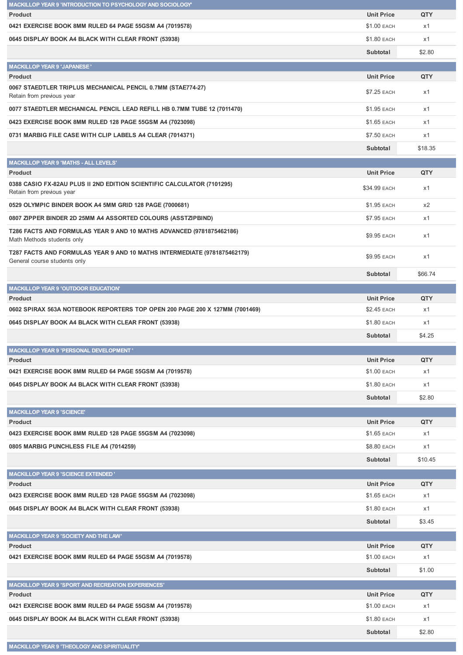| MACKILLOP YEAR 9 'INTRODUCTION TO PSYCHOLOGY AND SOCIOLOGY'                                              |                    |         |
|----------------------------------------------------------------------------------------------------------|--------------------|---------|
| <b>Product</b>                                                                                           | <b>Unit Price</b>  | QTY     |
| 0421 EXERCISE BOOK 8MM RULED 64 PAGE 55GSM A4 (7019578)                                                  | <b>\$1.00 EACH</b> | x1      |
| 0645 DISPLAY BOOK A4 BLACK WITH CLEAR FRONT (53938)                                                      | \$1.80 EACH        | x1      |
|                                                                                                          | Subtotal           | \$2.80  |
| <b>MACKILLOP YEAR 9 'JAPANESE'</b>                                                                       |                    |         |
| <b>Product</b>                                                                                           | <b>Unit Price</b>  | QTY     |
| 0067 STAEDTLER TRIPLUS MECHANICAL PENCIL 0.7MM (STAE774-27)<br>Retain from previous year                 | \$7.25 EACH        | x1      |
| 0077 STAEDTLER MECHANICAL PENCIL LEAD REFILL HB 0.7MM TUBE 12 (7011470)                                  | \$1.95 EACH        | x1      |
| 0423 EXERCISE BOOK 8MM RULED 128 PAGE 55GSM A4 (7023098)                                                 | \$1.65 EACH        | x1      |
| 0731 MARBIG FILE CASE WITH CLIP LABELS A4 CLEAR (7014371)                                                | \$7.50 EACH        | x1      |
|                                                                                                          | Subtotal           | \$18.35 |
| <b>MACKILLOP YEAR 9 'MATHS - ALL LEVELS'</b>                                                             |                    |         |
| <b>Product</b>                                                                                           | <b>Unit Price</b>  | QTY     |
| 0388 CASIO FX-82AU PLUS II 2ND EDITION SCIENTIFIC CALCULATOR (7101295)<br>Retain from previous year      | \$34.99 EACH       | x1      |
| 0529 OLYMPIC BINDER BOOK A4 5MM GRID 128 PAGE (7000681)                                                  | \$1.95 EACH        | $x^2$   |
| 0807 ZIPPER BINDER 2D 25MM A4 ASSORTED COLOURS (ASSTZIPBIND)                                             | \$7.95 EACH        | x1      |
| T286 FACTS AND FORMULAS YEAR 9 AND 10 MATHS ADVANCED (9781875462186)<br>Math Methods students only       | \$9.95 EACH        | x1      |
| T287 FACTS AND FORMULAS YEAR 9 AND 10 MATHS INTERMEDIATE (9781875462179)<br>General course students only | \$9.95 EACH        | x1      |
|                                                                                                          | Subtotal           | \$66.74 |
| <b>MACKILLOP YEAR 9 'OUTDOOR EDUCATION'</b>                                                              |                    |         |
| <b>Product</b>                                                                                           | <b>Unit Price</b>  | QTY     |
| 0602 SPIRAX 563A NOTEBOOK REPORTERS TOP OPEN 200 PAGE 200 X 127MM (7001469)                              | \$2.45 EACH        | x1      |
| 0645 DISPLAY BOOK A4 BLACK WITH CLEAR FRONT (53938)                                                      | \$1.80 EACH        | x1      |
|                                                                                                          | Subtotal           | \$4.25  |
|                                                                                                          |                    |         |
| MACKILLOP YEAR 9 'PERSONAL DEVELOPMENT'<br><b>Product</b>                                                | <b>Unit Price</b>  | QTY     |
| 0421 EXERCISE BOOK 8MM RULED 64 PAGE 55GSM A4 (7019578)                                                  | \$1.00 EACH        | x1      |
| 0645 DISPLAY BOOK A4 BLACK WITH CLEAR FRONT (53938)                                                      | \$1.80 EACH        | x1      |
|                                                                                                          | Subtotal           | \$2.80  |
|                                                                                                          |                    |         |
| <b>MACKILLOP YEAR 9 'SCIENCE'</b><br><b>Product</b>                                                      | <b>Unit Price</b>  | QTY     |
| 0423 EXERCISE BOOK 8MM RULED 128 PAGE 55GSM A4 (7023098)                                                 | \$1.65 EACH        | x1      |
| 0805 MARBIG PUNCHLESS FILE A4 (7014259)                                                                  | \$8.80 EACH        | x1      |
|                                                                                                          |                    |         |
|                                                                                                          | Subtotal           | \$10.45 |
| <b>MACKILLOP YEAR 9 'SCIENCE EXTENDED '</b>                                                              |                    |         |
| Product                                                                                                  | <b>Unit Price</b>  | QTY     |
| 0423 EXERCISE BOOK 8MM RULED 128 PAGE 55GSM A4 (7023098)                                                 | \$1.65 EACH        | x1      |
| 0645 DISPLAY BOOK A4 BLACK WITH CLEAR FRONT (53938)                                                      | \$1.80 EACH        | x1      |
|                                                                                                          | Subtotal           | \$3.45  |
| MACKILLOP YEAR 9 'SOCIETY AND THE LAW'                                                                   |                    |         |
| <b>Product</b>                                                                                           | <b>Unit Price</b>  | QTY     |
| 0421 EXERCISE BOOK 8MM RULED 64 PAGE 55GSM A4 (7019578)                                                  | \$1.00 EACH        | x1      |
|                                                                                                          | Subtotal           | \$1.00  |
| <b>MACKILLOP YEAR 9 'SPORT AND RECREATION EXPERIENCES'</b>                                               |                    |         |
| <b>Product</b>                                                                                           | <b>Unit Price</b>  | QTY     |
| 0421 EXERCISE BOOK 8MM RULED 64 PAGE 55GSM A4 (7019578)                                                  | \$1.00 EACH        | x1      |
|                                                                                                          |                    |         |
| 0645 DISPLAY BOOK A4 BLACK WITH CLEAR FRONT (53938)                                                      | \$1.80 EACH        | x1      |